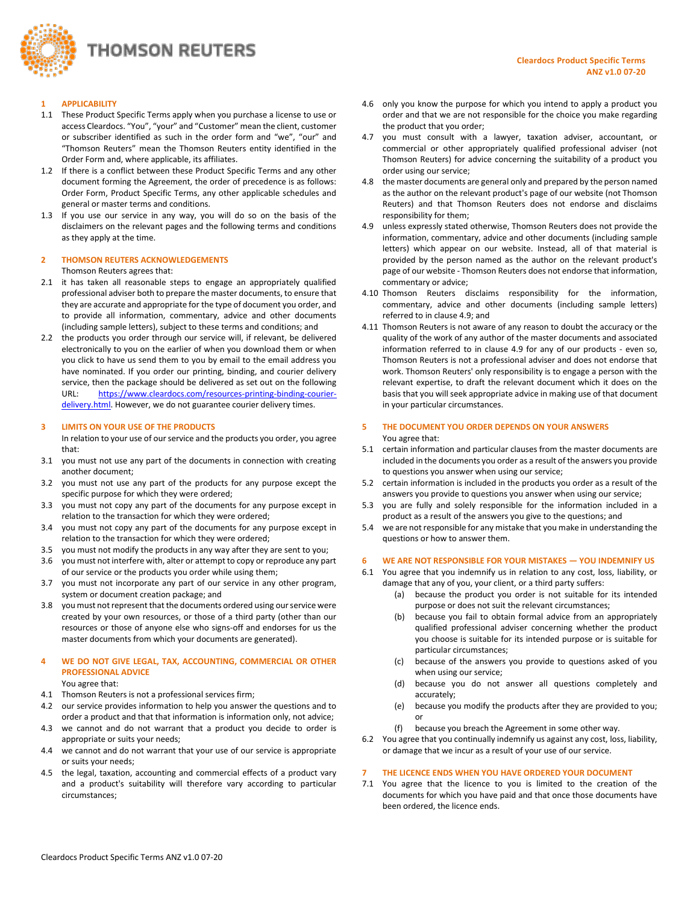

#### **1 APPLICABILITY**

- 1.1 These Product Specific Terms apply when you purchase a license to use or access Cleardocs. "You", "your" and "Customer" mean the client, customer or subscriber identified as such in the order form and "we", "our" and "Thomson Reuters" mean the Thomson Reuters entity identified in the Order Form and, where applicable, its affiliates.
- 1.2 If there is a conflict between these Product Specific Terms and any other document forming the Agreement, the order of precedence is as follows: Order Form, Product Specific Terms, any other applicable schedules and general or master terms and conditions.
- 1.3 If you use our service in any way, you will do so on the basis of the disclaimers on the relevant pages and the following terms and conditions as they apply at the time.

#### **2 THOMSON REUTERS ACKNOWLEDGEMENTS**

Thomson Reuters agrees that:

- 2.1 it has taken all reasonable steps to engage an appropriately qualified professional adviser both to prepare the master documents, to ensure that they are accurate and appropriate for the type of document you order, and to provide all information, commentary, advice and other documents (including sample letters), subject to these terms and conditions; and
- 2.2 the products you order through our service will, if relevant, be delivered electronically to you on the earlier of when you download them or when you click to have us send them to you by email to the email address you have nominated. If you order our printing, binding, and courier delivery service, then the package should be delivered as set out on the following URL: [https://www.cleardocs.com/resources-printing-binding-courier](https://www.cleardocs.com/resources-printing-binding-courier-delivery.html)[delivery.html.](https://www.cleardocs.com/resources-printing-binding-courier-delivery.html) However, we do not guarantee courier delivery times.

#### **3 LIMITS ON YOUR USE OF THE PRODUCTS**

In relation to your use of our service and the products you order, you agree that:

- 3.1 you must not use any part of the documents in connection with creating another document;
- 3.2 you must not use any part of the products for any purpose except the specific purpose for which they were ordered;
- 3.3 you must not copy any part of the documents for any purpose except in relation to the transaction for which they were ordered;
- 3.4 you must not copy any part of the documents for any purpose except in relation to the transaction for which they were ordered;
- 3.5 you must not modify the products in any way after they are sent to you;
- 3.6 you must not interfere with, alter or attempt to copy or reproduce any part of our service or the products you order while using them;
- 3.7 you must not incorporate any part of our service in any other program, system or document creation package; and
- 3.8 you must not represent that the documents ordered using our service were created by your own resources, or those of a third party (other than our resources or those of anyone else who signs-off and endorses for us the master documents from which your documents are generated).

# **4 WE DO NOT GIVE LEGAL, TAX, ACCOUNTING, COMMERCIAL OR OTHER PROFESSIONAL ADVICE**

You agree that:

- 4.1 Thomson Reuters is not a professional services firm;
- 4.2 our service provides information to help you answer the questions and to order a product and that that information is information only, not advice;
- 4.3 we cannot and do not warrant that a product you decide to order is appropriate or suits your needs;
- 4.4 we cannot and do not warrant that your use of our service is appropriate or suits your needs;
- 4.5 the legal, taxation, accounting and commercial effects of a product vary and a product's suitability will therefore vary according to particular circumstances;
- 4.6 only you know the purpose for which you intend to apply a product you order and that we are not responsible for the choice you make regarding the product that you order;
- 4.7 you must consult with a lawyer, taxation adviser, accountant, or commercial or other appropriately qualified professional adviser (not Thomson Reuters) for advice concerning the suitability of a product you order using our service;
- 4.8 the master documents are general only and prepared by the person named as the author on the relevant product's page of our website (not Thomson Reuters) and that Thomson Reuters does not endorse and disclaims responsibility for them;
- <span id="page-0-0"></span>4.9 unless expressly stated otherwise, Thomson Reuters does not provide the information, commentary, advice and other documents (including sample letters) which appear on our website. Instead, all of that material is provided by the person named as the author on the relevant product's page of our website - Thomson Reuters does not endorse that information, commentary or advice;
- 4.10 Thomson Reuters disclaims responsibility for the information, commentary, advice and other documents (including sample letters) referred to in claus[e 4.9;](#page-0-0) and
- 4.11 Thomson Reuters is not aware of any reason to doubt the accuracy or the quality of the work of any author of the master documents and associated information referred to in clause [4.9](#page-0-0) for any of our products - even so, Thomson Reuters is not a professional adviser and does not endorse that work. Thomson Reuters' only responsibility is to engage a person with the relevant expertise, to draft the relevant document which it does on the basis that you will seek appropriate advice in making use of that document in your particular circumstances.

## **5 THE DOCUMENT YOU ORDER DEPENDS ON YOUR ANSWERS**

You agree that:

- 5.1 certain information and particular clauses from the master documents are included in the documents you order as a result of the answers you provide to questions you answer when using our service;
- 5.2 certain information is included in the products you order as a result of the answers you provide to questions you answer when using our service;
- 5.3 you are fully and solely responsible for the information included in a product as a result of the answers you give to the questions; and
- 5.4 we are not responsible for any mistake that you make in understanding the questions or how to answer them.

## **6 WE ARE NOT RESPONSIBLE FOR YOUR MISTAKES — YOU INDEMNIFY US**

- 6.1 You agree that you indemnify us in relation to any cost, loss, liability, or damage that any of you, your client, or a third party suffers:
	- (a) because the product you order is not suitable for its intended purpose or does not suit the relevant circumstances;
	- (b) because you fail to obtain formal advice from an appropriately qualified professional adviser concerning whether the product you choose is suitable for its intended purpose or is suitable for particular circumstances;
	- (c) because of the answers you provide to questions asked of you when using our service;
	- (d) because you do not answer all questions completely and accurately;
	- (e) because you modify the products after they are provided to you; or
	- (f) because you breach the Agreement in some other way.
- 6.2 You agree that you continually indemnify us against any cost, loss, liability, or damage that we incur as a result of your use of our service.

## **7 THE LICENCE ENDS WHEN YOU HAVE ORDERED YOUR DOCUMENT**

7.1 You agree that the licence to you is limited to the creation of the documents for which you have paid and that once those documents have been ordered, the licence ends.